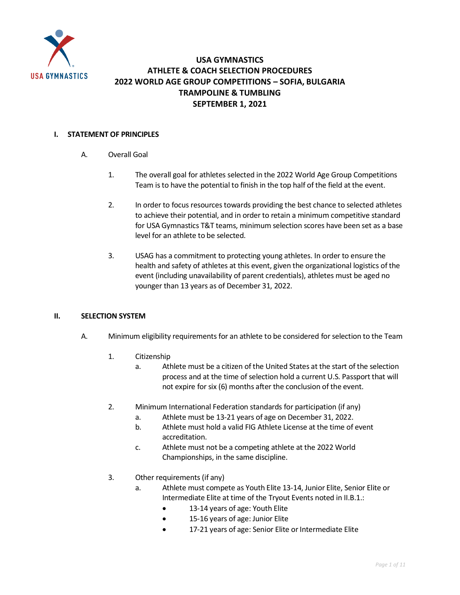

#### **USA GYMNASTICS ATHLETE & COACH SELECTION PROCEDURES 2022 WORLD AGE GROUP COMPETITIONS – SOFIA, BULGARIA TRAMPOLINE & TUMBLING SEPTEMBER 1, 2021**

#### **I. STATEMENT OF PRINCIPLES**

- A. Overall Goal
	- 1. The overall goal for athletes selected in the 2022 World Age Group Competitions Team is to have the potential to finish in the top half of the field at the event.
	- 2. In order to focus resources towards providing the best chance to selected athletes to achieve their potential, and in order to retain a minimum competitive standard for USA Gymnastics T&T teams, minimum selection scores have been set as a base level for an athlete to be selected.
	- 3. USAG has a commitment to protecting young athletes. In order to ensure the health and safety of athletes at this event, given the organizational logistics of the event (including unavailability of parent credentials), athletes must be aged no younger than 13 years as of December 31, 2022.

#### **II. SELECTION SYSTEM**

- A. Minimum eligibility requirements for an athlete to be considered for selection to the Team
	- 1. Citizenship
		- a. Athlete must be a citizen of the United States at the start of the selection process and at the time of selection hold a current U.S. Passport that will not expire for six (6) months after the conclusion of the event.
	- 2. Minimum International Federation standards for participation (if any)
		- a. Athlete must be 13-21 years of age on December 31, 2022.
		- b. Athlete must hold a valid FIG Athlete License at the time of event accreditation.
		- c. Athlete must not be a competing athlete at the 2022 World Championships, in the same discipline.
	- 3. Other requirements (if any)
		- a. Athlete must compete as Youth Elite 13-14, Junior Elite, Senior Elite or Intermediate Elite at time of the Tryout Events noted in II.B.1.:
			- 13-14 years of age: Youth Elite
			- 15-16 years of age: Junior Elite
			- 17-21 years of age: Senior Elite or Intermediate Elite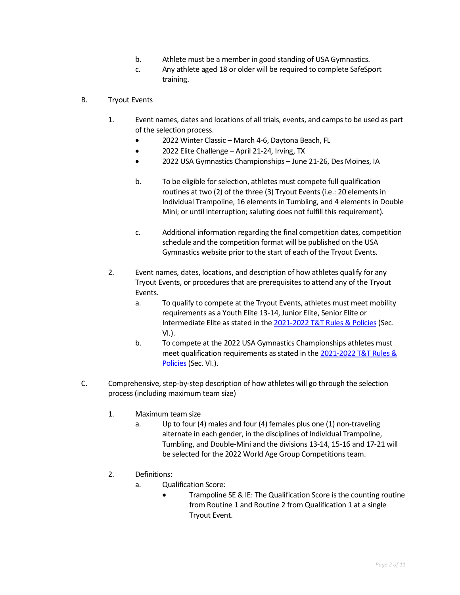- b. Athlete must be a member in good standing of USA Gymnastics.
- c. Any athlete aged 18 or older will be required to complete SafeSport training.
- B. Tryout Events
	- 1. Event names, dates and locations of all trials, events, and camps to be used as part of the selection process.
		- 2022 Winter Classic March 4-6, Daytona Beach, FL
		- 2022 Elite Challenge April 21-24, Irving, TX
		- 2022 USA Gymnastics Championships June 21-26, Des Moines, IA
		- b. To be eligible for selection, athletes must compete full qualification routines at two (2) of the three (3) Tryout Events (i.e.: 20 elements in Individual Trampoline, 16 elements in Tumbling, and 4 elements in Double Mini; or until interruption; saluting does not fulfill this requirement).
		- c. Additional information regarding the final competition dates, competition schedule and the competition format will be published on th[e USA](https://usagym.org/PDFs/T&T/T&T%20Program%20Events/20eventcalendar.pdf)  [Gymnastics website](https://usagym.org/PDFs/T&T/T&T%20Program%20Events/20eventcalendar.pdf) prior to the start of each of the Tryout Events.
	- 2. Event names, dates, locations, and description of how athletes qualify for any Tryout Events, or procedures that are prerequisites to attend any of the Tryout Events.
		- a. To qualify to compete at the Tryout Events, athletes must meet mobility requirements as a Youth Elite 13-14, Junior Elite, Senior Elite or Intermediate Elite as stated in the 2021-2022 [T&T Rules & Policies](https://www.usagym.org/pages/tt/pages/rules_policies.html) (Sec. VI.).
		- b. To compete at the 2022 USA Gymnastics Championships athletes must meet qualification requirements as stated in the 2021-2022 T&T Rules & [Policies](https://www.usagym.org/pages/tt/pages/rules_policies.html) (Sec. VI.).
- C. Comprehensive, step-by-step description of how athletes will go through the selection process (including maximum team size)
	- 1. Maximum team size
		- a. Up to four (4) males and four (4) females plus one (1) non-traveling alternate in each gender, in the disciplines of Individual Trampoline, Tumbling, and Double-Mini and the divisions 13-14, 15-16 and 17-21 will be selected for the 2022 World Age Group Competitions team.
	- 2. Definitions:
		- a. Qualification Score:
			- Trampoline SE & IE: The Qualification Score is the counting routine from Routine 1 and Routine 2 from Qualification 1 at a single Tryout Event.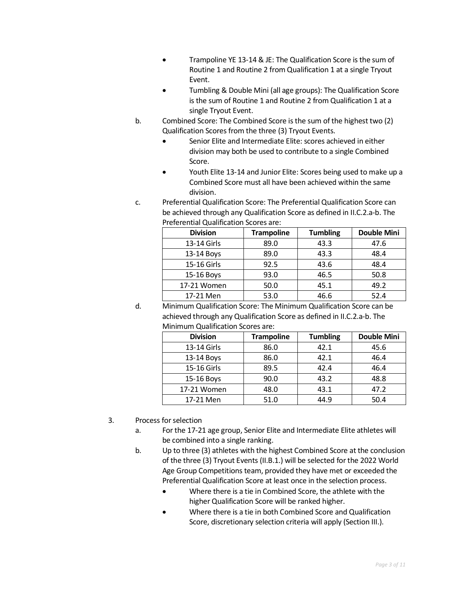- Trampoline YE 13-14 & JE: The Qualification Score is the sum of Routine 1 and Routine 2 from Qualification 1 at a single Tryout Event.
- Tumbling & Double Mini (all age groups): The Qualification Score is the sum of Routine 1 and Routine 2 from Qualification 1 at a single Tryout Event.
- b. Combined Score: The Combined Score is the sum of the highest two (2) Qualification Scores from the three (3) Tryout Events.
	- Senior Elite and Intermediate Elite: scores achieved in either division may both be used to contribute to a single Combined Score.
	- Youth Elite 13-14 and Junior Elite: Scores being used to make up a Combined Score must all have been achieved within the same division.
- c. Preferential Qualification Score: The Preferential Qualification Score can be achieved through any Qualification Score as defined in II.C.2.a-b. The Preferential Qualification Scores are:

| <b>Division</b> | <b>Trampoline</b> | <b>Tumbling</b> | <b>Double Mini</b> |
|-----------------|-------------------|-----------------|--------------------|
| 13-14 Girls     | 89.0              | 43.3            | 47.6               |
| 13-14 Boys      | 89.0              | 43.3            | 48.4               |
| 15-16 Girls     | 92.5              | 43.6            | 48.4               |
| 15-16 Boys      | 93.0              | 46.5            | 50.8               |
| 17-21 Women     | 50.0              | 45.1            | 49.2               |
| 17-21 Men       | 53.0              | 46.6            | 52.4               |

d. Minimum Qualification Score: The Minimum Qualification Score can be achieved through any Qualification Score as defined in II.C.2.a-b. The Minimum Qualification Scores are:

| <b>Division</b> | <b>Trampoline</b> | <b>Tumbling</b> | <b>Double Mini</b> |
|-----------------|-------------------|-----------------|--------------------|
| 13-14 Girls     | 86.0              | 42.1            | 45.6               |
| 13-14 Boys      | 86.0              | 42.1            | 46.4               |
| 15-16 Girls     | 89.5              | 42.4            | 46.4               |
| 15-16 Boys      | 90.0              | 43.2            | 48.8               |
| 17-21 Women     | 48.0              | 43.1            | 47.2               |
| 17-21 Men       | 51.0              | 44.9            | 50.4               |

- 3. Process for selection
	- a. For the 17-21 age group, Senior Elite and Intermediate Elite athletes will be combined into a single ranking.
	- b. Up to three (3) athletes with the highest Combined Score at the conclusion of the three (3) Tryout Events (II.B.1.) will be selected for the 2022 World Age Group Competitions team, provided they have met or exceeded the Preferential Qualification Score at least once in the selection process.
		- Where there is a tie in Combined Score, the athlete with the higher Qualification Score will be ranked higher.
		- Where there is a tie in both Combined Score and Qualification Score, discretionary selection criteria will apply (Section III.).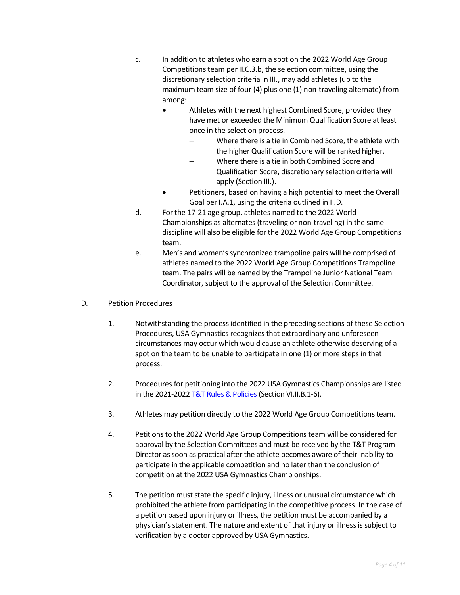- c. In addition to athletes who earn a spot on the 2022 World Age Group Competitions team per II.C.3.b, the selection committee, using the discretionary selection criteria in III., may add athletes (up to the maximum team size of four (4) plus one (1) non-traveling alternate) from among:
	- Athletes with the next highest Combined Score, provided they have met or exceeded the Minimum Qualification Score at least once in the selection process.
		- − Where there is a tie in Combined Score, the athlete with the higher Qualification Score will be ranked higher.
		- − Where there is a tie in both Combined Score and Qualification Score, discretionary selection criteria will apply (Section III.).
	- Petitioners, based on having a high potential to meet the Overall Goal per I.A.1, using the criteria outlined in II.D.
- d. For the 17-21 age group, athletes named to the 2022 World Championships as alternates (traveling or non-traveling) in the same discipline will also be eligible for the 2022 World Age Group Competitions team.
- e. Men's and women's synchronized trampoline pairs will be comprised of athletes named to the 2022 World Age Group Competitions Trampoline team. The pairs will be named by the Trampoline Junior National Team Coordinator, subject to the approval of the Selection Committee.
- D. Petition Procedures
	- 1. Notwithstanding the process identified in the preceding sections of these Selection Procedures, USA Gymnastics recognizes that extraordinary and unforeseen circumstances may occur which would cause an athlete otherwise deserving of a spot on the team to be unable to participate in one (1) or more steps in that process.
	- 2. Procedures for petitioning into the 2022 USA Gymnastics Championships are listed in the 2021-2022 [T&T Rules & Policies](https://usagym.org/PDFs/T&T/Rules/Rules%20and%20Policies/2017/vi_elite_042517.pdf) (Section VI.II.B.1-6).
	- 3. Athletes may petition directly to the 2022 World Age Group Competitions team.
	- 4. Petitions to the 2022 World Age Group Competitions team will be considered for approval by the Selection Committees and must be received by the T&T Program Director as soon as practical after the athlete becomes aware of their inability to participate in the applicable competition and no later than the conclusion of competition at the 2022 USA Gymnastics Championships.
	- 5. The petition must state the specific injury, illness or unusual circumstance which prohibited the athlete from participating in the competitive process. In the case of a petition based upon injury or illness, the petition must be accompanied by a physician's statement. The nature and extent of that injury or illness is subject to verification by a doctor approved by USA Gymnastics.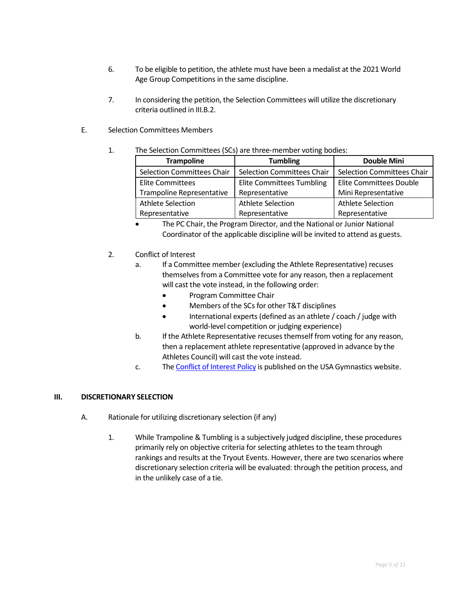- 6. To be eligible to petition, the athlete must have been a medalist at the 2021 World Age Group Competitions in the same discipline.
- 7. In considering the petition, the Selection Committees will utilize the discretionary criteria outlined in III.B.2.
- E. Selection Committees Members

#### 1. The Selection Committees (SCs) are three-member voting bodies:

| <b>Trampoline</b>                 | <b>Tumbling</b>                   | <b>Double Mini</b>                |
|-----------------------------------|-----------------------------------|-----------------------------------|
| <b>Selection Committees Chair</b> | <b>Selection Committees Chair</b> | <b>Selection Committees Chair</b> |
| <b>Elite Committees</b>           | <b>Elite Committees Tumbling</b>  | Elite Committees Double           |
| <b>Trampoline Representative</b>  | Representative                    | Mini Representative               |
| Athlete Selection                 | Athlete Selection                 | Athlete Selection                 |
| Representative                    | Representative                    | Representative                    |

- The PC Chair, the Program Director, and the National or Junior National Coordinator of the applicable discipline will be invited to attend as guests.
- 2. Conflict of Interest
	- a. If a Committee member (excluding the Athlete Representative) recuses themselves from a Committee vote for any reason, then a replacement will cast the vote instead, in the following order:
		- Program Committee Chair
		- Members of the SCs for other T&T disciplines
		- International experts (defined as an athlete / coach / judge with world-level competition or judging experience)
	- b. If the Athlete Representative recuses themself from voting for any reason, then a replacement athlete representative (approved in advance by the Athletes Council) will cast the vote instead.
	- c. Th[e Conflict of Interest Policy](https://usagym.org/PDFs/Pressbox/Selection%20Procedures/conflictinterest.pdf) is published on the USA Gymnastics website.

#### **III. DISCRETIONARY SELECTION**

- A. Rationale for utilizing discretionary selection (if any)
	- 1. While Trampoline & Tumbling is a subjectively judged discipline, these procedures primarily rely on objective criteria for selecting athletes to the team through rankings and results at the Tryout Events. However, there are two scenarios where discretionary selection criteria will be evaluated: through the petition process, and in the unlikely case of a tie.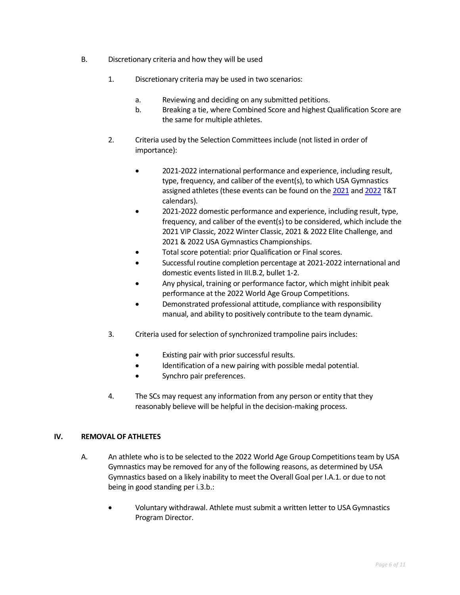- B. Discretionary criteria and how they will be used
	- 1. Discretionary criteria may be used in two scenarios:
		- a. Reviewing and deciding on any submitted petitions.
		- b. Breaking a tie, where Combined Score and highest Qualification Score are the same for multiple athletes.
	- 2. Criteria used by the Selection Committees include (not listed in order of importance):
		- 2021-2022 international performance and experience, including result, type, frequency, and caliber of the event(s), to which USA Gymnastics assigned athletes (these events can be found on the [2021](https://usagym.org/PDFs/T&T/T&T%20Program%20Events/21eventcalendar.pdf) and [2022](https://usagym.org/PDFs/T&T/T&T%20Program%20Events/22eventcalendar.pdf) T&T calendars).
		- 2021-2022 domestic performance and experience, including result, type, frequency, and caliber of the event(s) to be considered, which include the 2021 VIP Classic, 2022 Winter Classic, 2021 & 2022 Elite Challenge, and 2021 & 2022 USA Gymnastics Championships.
		- Total score potential: prior Qualification or Final scores.
		- Successful routine completion percentage at 2021-2022 international and domestic events listed in III.B.2, bullet 1-2.
		- Any physical, training or performance factor, which might inhibit peak performance at the 2022 World Age Group Competitions.
		- Demonstrated professional attitude, compliance with responsibility manual, and ability to positively contribute to the team dynamic.
	- 3. Criteria used for selection of synchronized trampoline pairs includes:
		- Existing pair with prior successful results.
		- Identification of a new pairing with possible medal potential.
		- Synchro pair preferences.
	- 4. The SCs may request any information from any person or entity that they reasonably believe will be helpful in the decision-making process.

#### **IV. REMOVAL OF ATHLETES**

- A. An athlete who is to be selected to the 2022 World Age Group Competitionsteam by USA Gymnastics may be removed for any of the following reasons, as determined by USA Gymnastics based on a likely inability to meet the Overall Goal per I.A.1. or due to not being in good standing per i.3.b.:
	- Voluntary withdrawal. Athlete must submit a written letter to USA Gymnastics Program Director.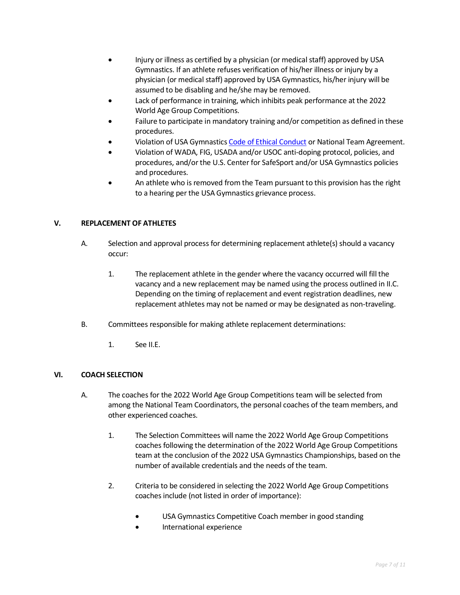- Injury or illness as certified by a physician (or medical staff) approved by USA Gymnastics. If an athlete refuses verification of his/her illness or injury by a physician (or medical staff) approved by USA Gymnastics, his/her injury will be assumed to be disabling and he/she may be removed.
- Lack of performance in training, which inhibits peak performance at the 2022 World Age Group Competitions.
- Failure to participate in mandatory training and/or competition as defined in these procedures.
- Violation of USA Gymnastic[s Code of Ethical Conduct](https://www.usagym.org/pages/aboutus/pages/code_of_ethics.html) or National Team Agreement.
- Violation of WADA, FIG, USADA and/or USOC anti-doping protocol, policies, and procedures, and/or the U.S. Center for SafeSport and/or USA Gymnastics policies and procedures.
- An athlete who is removed from the Team pursuant to this provision has the right to a hearing per the USA Gymnastics grievance process.

#### **V. REPLACEMENT OF ATHLETES**

- A. Selection and approval process for determining replacement athlete(s) should a vacancy occur:
	- 1. The replacement athlete in the gender where the vacancy occurred will fill the vacancy and a new replacement may be named using the process outlined in II.C. Depending on the timing of replacement and event registration deadlines, new replacement athletes may not be named or may be designated as non-traveling.
- B. Committees responsible for making athlete replacement determinations:
	- 1. See II.E.

#### **VI. COACH SELECTION**

- A. The coaches for the 2022 World Age Group Competitions team will be selected from among the National Team Coordinators, the personal coaches of the team members, and other experienced coaches.
	- 1. The Selection Committees will name the 2022 World Age Group Competitions coaches following the determination of the 2022 World Age Group Competitions team at the conclusion of the 2022 USA Gymnastics Championships, based on the number of available credentials and the needs of the team.
	- 2. Criteria to be considered in selecting the 2022 World Age Group Competitions coaches include (not listed in order of importance):
		- USA Gymnastics Competitive Coach member in good standing
		- International experience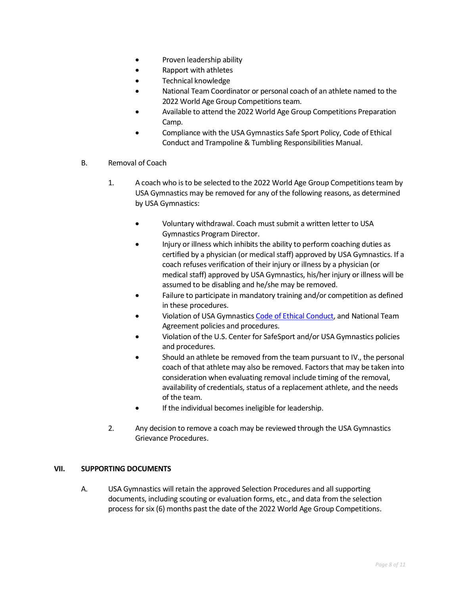- Proven leadership ability
- Rapport with athletes
- Technical knowledge
- National Team Coordinator or personal coach of an athlete named to the 2022 World Age Group Competitions team.
- Available to attend the 2022 World Age Group Competitions Preparation Camp.
- Compliance with the USA Gymnastics Safe Sport Policy, Code of Ethical Conduct and Trampoline & Tumbling Responsibilities Manual.
- B. Removal of Coach
	- 1. A coach who is to be selected to the 2022 World Age Group Competitions team by USA Gymnastics may be removed for any of the following reasons, as determined by USA Gymnastics:
		- Voluntary withdrawal. Coach must submit a written letter to USA Gymnastics Program Director.
		- Injury or illness which inhibits the ability to perform coaching duties as certified by a physician (or medical staff) approved by USA Gymnastics. If a coach refuses verification of their injury or illness by a physician (or medical staff) approved by USA Gymnastics, his/her injury or illness will be assumed to be disabling and he/she may be removed.
		- Failure to participate in mandatory training and/or competition as defined in these procedures.
		- Violation of USA Gymnastic[s Code of Ethical Conduct,](https://www.usagym.org/pages/aboutus/pages/code_of_ethics.html) and National Team Agreement policies and procedures.
		- Violation of the U.S. Center for SafeSport and/or USA Gymnastics policies and procedures.
		- Should an athlete be removed from the team pursuant to IV., the personal coach of that athlete may also be removed. Factors that may be taken into consideration when evaluating removal include timing of the removal, availability of credentials, status of a replacement athlete, and the needs of the team.
		- If the individual becomes ineligible for leadership.
	- 2. Any decision to remove a coach may be reviewed through the USA Gymnastics Grievance Procedures.

#### **VII. SUPPORTING DOCUMENTS**

A. USA Gymnastics will retain the approved Selection Procedures and all supporting documents, including scouting or evaluation forms, etc., and data from the selection process for six (6) months past the date of the 2022 World Age Group Competitions.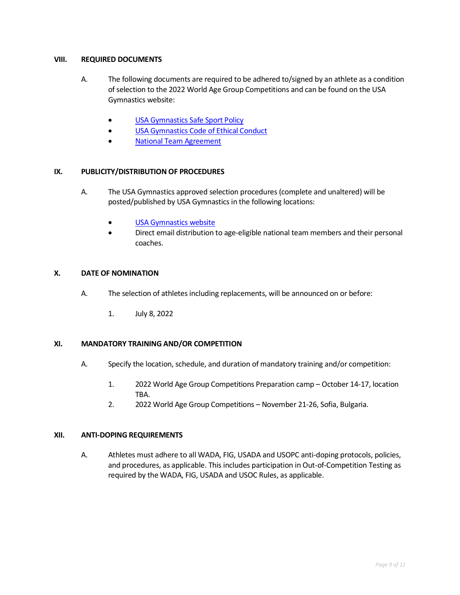#### **VIII. REQUIRED DOCUMENTS**

- A. The following documents are required to be adhered to/signed by an athlete as a condition of selection to the 2022 World Age Group Competitions and can be found on the USA Gymnastics website:
	- **[USA Gymnastics Safe Sport Policy](http://usagym.org/pages/education/safesport/policy.html)**
	- [USA Gymnastics Code of](https://www.usagym.org/pages/aboutus/pages/code_of_ethics.html) Ethical Conduct
	- [National Team Agreement](https://usagym.org/PDFs/Pressbox/Selection%20Procedures/t_20natteam_agreement.pdf)

#### **IX. PUBLICITY/DISTRIBUTION OF PROCEDURES**

- A. The USA Gymnastics approved selection procedures (complete and unaltered) will be posted/published by USA Gymnastics in the following locations:
	- [USA Gymnastics website](http://usagym.org/pages/tt/pages/selection_procedures.html)
	- Direct email distribution to age-eligible national team members and their personal coaches.

#### **X. DATE OF NOMINATION**

- A. The selection of athletes including replacements, will be announced on or before:
	- 1. July 8, 2022

#### **XI. MANDATORY TRAINING AND/OR COMPETITION**

- A. Specify the location, schedule, and duration of mandatory training and/or competition:
	- 1. 2022 World Age Group Competitions Preparation camp October 14-17, location TBA.
	- 2. 2022 World Age Group Competitions November 21-26, Sofia, Bulgaria.

#### **XII. ANTI-DOPING REQUIREMENTS**

A. Athletes must adhere to all WADA, FIG, USADA and USOPC anti-doping protocols, policies, and procedures, as applicable. This includes participation in Out-of-Competition Testing as required by the WADA, FIG, USADA and USOC Rules, as applicable.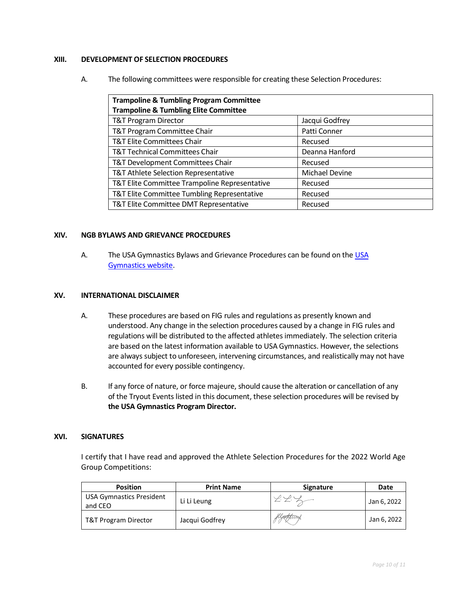#### **XIII. DEVELOPMENT OF SELECTION PROCEDURES**

A. The following committees were responsible for creating these Selection Procedures:

| <b>Trampoline &amp; Tumbling Program Committee</b><br><b>Trampoline &amp; Tumbling Elite Committee</b> |                |
|--------------------------------------------------------------------------------------------------------|----------------|
| <b>T&amp;T Program Director</b>                                                                        | Jacqui Godfrey |
| T&T Program Committee Chair                                                                            | Patti Conner   |
| <b>T&amp;T Elite Committees Chair</b>                                                                  | Recused        |
| <b>T&amp;T Technical Committees Chair</b>                                                              | Deanna Hanford |
| T&T Development Committees Chair                                                                       | Recused        |
| T&T Athlete Selection Representative                                                                   | Michael Devine |
| T&T Elite Committee Trampoline Representative                                                          | Recused        |
| T&T Elite Committee Tumbling Representative                                                            | Recused        |
| T&T Elite Committee DMT Representative                                                                 | Recused        |

#### **XIV. NGB BYLAWS AND GRIEVANCE PROCEDURES**

A. The USA Gymnastics Bylaws and Grievance Procedures can be found on th[e USA](https://www.usagym.org/PDFs/About%20USA%20Gymnastics/Governance/usag-bylaws.pdf)  [Gymnastics website.](https://www.usagym.org/PDFs/About%20USA%20Gymnastics/Governance/usag-bylaws.pdf)

#### **XV. INTERNATIONAL DISCLAIMER**

- A. These procedures are based on FIG rules and regulations as presently known and understood. Any change in the selection procedures caused by a change in FIG rules and regulations will be distributed to the affected athletes immediately. The selection criteria are based on the latest information available to USA Gymnastics. However, the selections are always subject to unforeseen, intervening circumstances, and realistically may not have accounted for every possible contingency.
- B. If any force of nature, or force majeure, should cause the alteration or cancellation of any of the Tryout Events listed in this document, these selection procedures will be revised by **the USA Gymnastics Program Director.**

#### **XVI. SIGNATURES**

I certify that I have read and approved the Athlete Selection Procedures for the 2022 World Age Group Competitions:

| <b>Position</b>                            | <b>Print Name</b> | <b>Signature</b> | Date        |
|--------------------------------------------|-------------------|------------------|-------------|
| <b>USA Gymnastics President</b><br>and CEO | Li Li Leung       | ZZ               | Jan 6, 2022 |
| T&T Program Director                       | Jacqui Godfrey    | flyeggtvæg       | Jan 6, 2022 |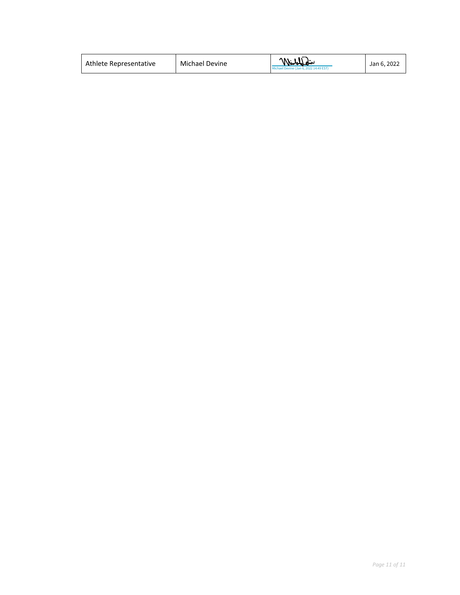| Michael Devine<br>Athlete Representative | William<br>Michael Devine (Jan 6, 2022 14:49 EST) | Jan 6, 2022 |
|------------------------------------------|---------------------------------------------------|-------------|
|------------------------------------------|---------------------------------------------------|-------------|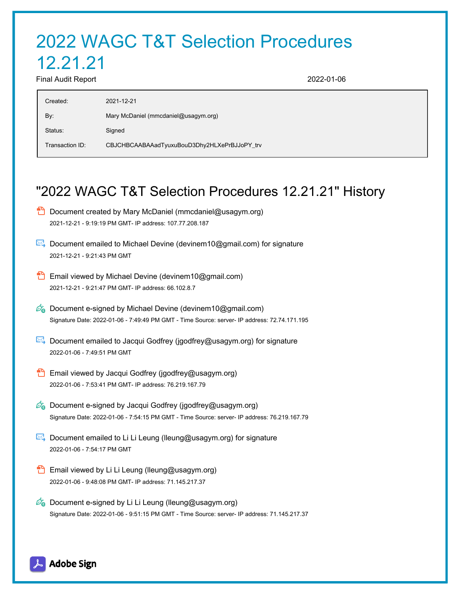# 2022 WAGC T&T Selection Procedures

## 12.21.21

Final Audit Report 2022-01-06

| Created:        | 2021-12-21                                   |
|-----------------|----------------------------------------------|
| By:             | Mary McDaniel (mmcdaniel@usagym.org)         |
| Status:         | Signed                                       |
| Transaction ID: | CBJCHBCAABAAadTyuxuBouD3Dhy2HLXePrBJJoPY_trv |

### "2022 WAGC T&T Selection Procedures 12.21.21" History

- **D** Document created by Mary McDaniel (mmcdaniel@usagym.org) 2021-12-21 - 9:19:19 PM GMT- IP address: 107.77.208.187
- Document emailed to Michael Devine (devinem10@gmail.com) for signature 2021-12-21 - 9:21:43 PM GMT
- **Email viewed by Michael Devine (devinem10@gmail.com)** 2021-12-21 - 9:21:47 PM GMT- IP address: 66.102.8.7
- $\mathbb{Z}_{\bullet}$  Document e-signed by Michael Devine (devinem10@gmail.com) Signature Date: 2022-01-06 - 7:49:49 PM GMT - Time Source: server- IP address: 72.74.171.195
- $\mathbb{R}$  Document emailed to Jacqui Godfrey (jgodfrey@usagym.org) for signature 2022-01-06 - 7:49:51 PM GMT
- **Email viewed by Jacqui Godfrey (jgodfrey@usagym.org)** 2022-01-06 - 7:53:41 PM GMT- IP address: 76.219.167.79
- $\mathscr{O}_\bullet$  Document e-signed by Jacqui Godfrey (jgodfrey@usagym.org) Signature Date: 2022-01-06 - 7:54:15 PM GMT - Time Source: server- IP address: 76.219.167.79
- Document emailed to Li Li Leung (Ileung@usagym.org) for signature 2022-01-06 - 7:54:17 PM GMT
- **Email viewed by Li Li Leung (lleung@usagym.org)** 2022-01-06 - 9:48:08 PM GMT- IP address: 71.145.217.37
- $\mathscr{O}_\mathbf{Q}$  Document e-signed by Li Li Leung (lleung@usagym.org) Signature Date: 2022-01-06 - 9:51:15 PM GMT - Time Source: server- IP address: 71.145.217.37

**Adobe Sign**